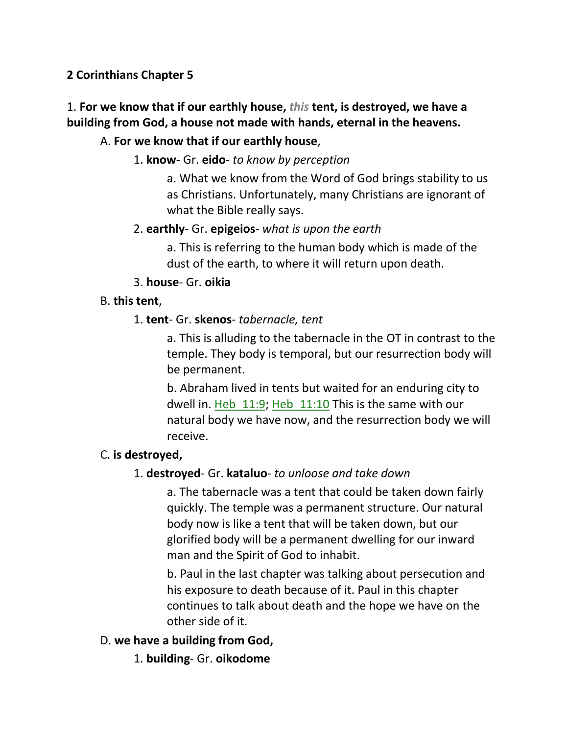## **2 Corinthians Chapter 5**

# 1. **For we know that if our earthly house,** *this* **tent, is destroyed, we have a building from God, a house not made with hands, eternal in the heavens.**

## A. **For we know that if our earthly house**,

### 1. **know**- Gr. **eido**- *to know by perception*

a. What we know from the Word of God brings stability to us as Christians. Unfortunately, many Christians are ignorant of what the Bible really says.

#### 2. **earthly**- Gr. **epigeios**- *what is upon the earth*

a. This is referring to the human body which is made of the dust of the earth, to where it will return upon death.

#### 3. **house**- Gr. **oikia**

#### B. **this tent**,

#### 1. **tent**- Gr. **skenos**- *tabernacle, tent*

a. This is alluding to the tabernacle in the OT in contrast to the temple. They body is temporal, but our resurrection body will be permanent.

b. Abraham lived in tents but waited for an enduring city to dwell in. Heb\_11:9; Heb\_11:10 This is the same with our natural body we have now, and the resurrection body we will receive.

### C. **is destroyed,**

### 1. **destroyed**- Gr. **kataluo**- *to unloose and take down*

a. The tabernacle was a tent that could be taken down fairly quickly. The temple was a permanent structure. Our natural body now is like a tent that will be taken down, but our glorified body will be a permanent dwelling for our inward man and the Spirit of God to inhabit.

b. Paul in the last chapter was talking about persecution and his exposure to death because of it. Paul in this chapter continues to talk about death and the hope we have on the other side of it.

### D. **we have a building from God,**

1. **building**- Gr. **oikodome**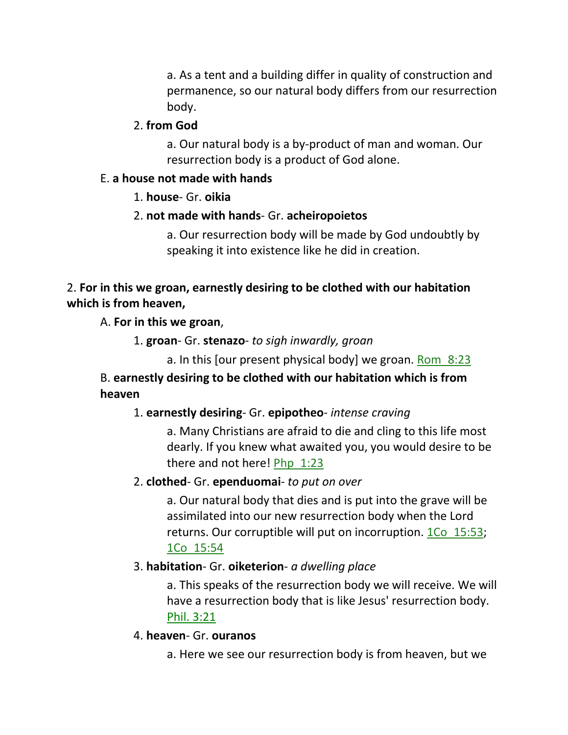a. As a tent and a building differ in quality of construction and permanence, so our natural body differs from our resurrection body.

#### 2. **from God**

a. Our natural body is a by-product of man and woman. Our resurrection body is a product of God alone.

#### E. **a house not made with hands**

#### 1. **house**- Gr. **oikia**

#### 2. **not made with hands**- Gr. **acheiropoietos**

a. Our resurrection body will be made by God undoubtly by speaking it into existence like he did in creation.

### 2. **For in this we groan, earnestly desiring to be clothed with our habitation which is from heaven,**

A. **For in this we groan**,

1. **groan**- Gr. **stenazo**- *to sigh inwardly, groan*

a. In this [our present physical body] we groan. Rom 8:23

B. **earnestly desiring to be clothed with our habitation which is from heaven**

#### 1. **earnestly desiring**- Gr. **epipotheo**- *intense craving*

a. Many Christians are afraid to die and cling to this life most dearly. If you knew what awaited you, you would desire to be there and not here! Php\_1:23

#### 2. **clothed**- Gr. **ependuomai**- *to put on over*

a. Our natural body that dies and is put into the grave will be assimilated into our new resurrection body when the Lord returns. Our corruptible will put on incorruption. 1Co 15:53; 1Co\_15:54

#### 3. **habitation**- Gr. **oiketerion**- *a dwelling place*

a. This speaks of the resurrection body we will receive. We will have a resurrection body that is like Jesus' resurrection body. Phil. 3:21

#### 4. **heaven**- Gr. **ouranos**

a. Here we see our resurrection body is from heaven, but we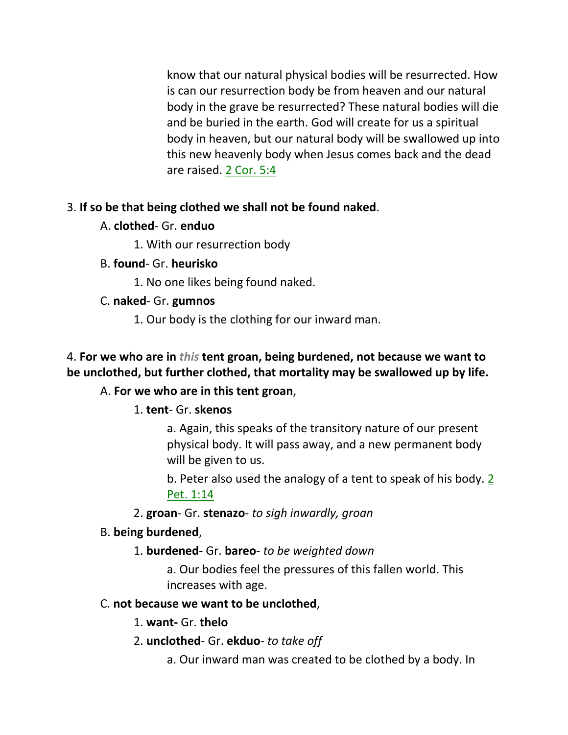know that our natural physical bodies will be resurrected. How is can our resurrection body be from heaven and our natural body in the grave be resurrected? These natural bodies will die and be buried in the earth. God will create for us a spiritual body in heaven, but our natural body will be swallowed up into this new heavenly body when Jesus comes back and the dead are raised. 2 Cor. 5:4

## 3. **If so be that being clothed we shall not be found naked**.

A. **clothed**- Gr. **enduo**

1. With our resurrection body

B. **found**- Gr. **heurisko**

1. No one likes being found naked.

- C. **naked** Gr. **gumnos**
	- 1. Our body is the clothing for our inward man.

# 4. **For we who are in** *this* **tent groan, being burdened, not because we want to be unclothed, but further clothed, that mortality may be swallowed up by life.**

# A. **For we who are in this tent groan**,

### 1. **tent**- Gr. **skenos**

a. Again, this speaks of the transitory nature of our present physical body. It will pass away, and a new permanent body will be given to us.

b. Peter also used the analogy of a tent to speak of his body. 2 Pet. 1:14

2. **groan**- Gr. **stenazo**- *to sigh inwardly, groan*

### B. **being burdened**,

1. **burdened**- Gr. **bareo**- *to be weighted down*

a. Our bodies feel the pressures of this fallen world. This increases with age.

### C. **not because we want to be unclothed**,

### 1. **want-** Gr. **thelo**

2. **unclothed**- Gr. **ekduo**- *to take off*

a. Our inward man was created to be clothed by a body. In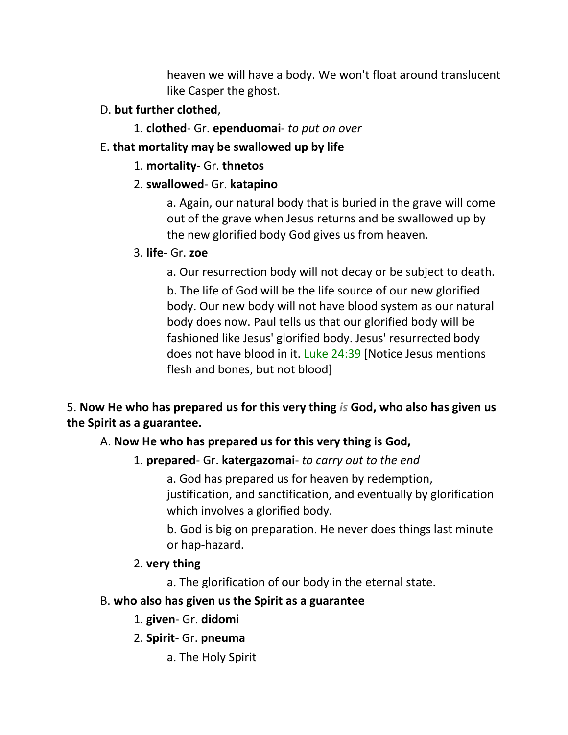heaven we will have a body. We won't float around translucent like Casper the ghost.

- D. **but further clothed**,
	- 1. **clothed** Gr. **ependuomai** *to put on over*
- E. **that mortality may be swallowed up by life**
	- 1. **mortality** Gr. **thnetos**

# 2. **swallowed**- Gr. **katapino**

a. Again, our natural body that is buried in the grave will come out of the grave when Jesus returns and be swallowed up by the new glorified body God gives us from heaven.

# 3. **life**- Gr. **zoe**

a. Our resurrection body will not decay or be subject to death.

b. The life of God will be the life source of our new glorified body. Our new body will not have blood system as our natural body does now. Paul tells us that our glorified body will be fashioned like Jesus' glorified body. Jesus' resurrected body does not have blood in it. Luke 24:39 [Notice Jesus mentions flesh and bones, but not blood]

5. **Now He who has prepared us for this very thing** *is* **God, who also has given us the Spirit as a guarantee.** 

# A. **Now He who has prepared us for this very thing is God,**

# 1. **prepared**- Gr. **katergazomai**- *to carry out to the end*

a. God has prepared us for heaven by redemption, justification, and sanctification, and eventually by glorification which involves a glorified body.

b. God is big on preparation. He never does things last minute or hap-hazard.

# 2. **very thing**

a. The glorification of our body in the eternal state.

# B. **who also has given us the Spirit as a guarantee**

# 1. **given**- Gr. **didomi**

- 2. **Spirit** Gr. **pneuma**
	- a. The Holy Spirit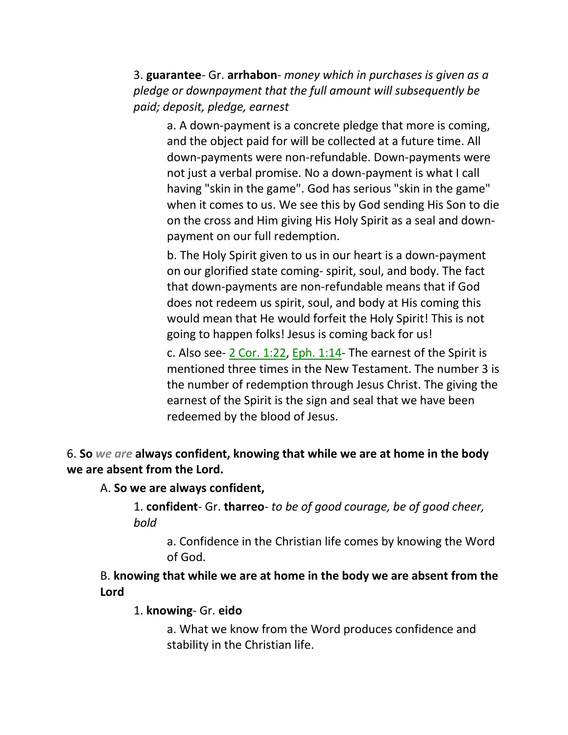3. **guarantee**- Gr. **arrhabon**- *money which in purchases is given as a pledge or downpayment that the full amount will subsequently be paid; deposit, pledge, earnest*

a. A down-payment is a concrete pledge that more is coming, and the object paid for will be collected at a future time. All down-payments were non-refundable. Down-payments were not just a verbal promise. No a down-payment is what I call having "skin in the game". God has serious "skin in the game" when it comes to us. We see this by God sending His Son to die on the cross and Him giving His Holy Spirit as a seal and downpayment on our full redemption.

b. The Holy Spirit given to us in our heart is a down-payment on our glorified state coming- spirit, soul, and body. The fact that down-payments are non-refundable means that if God does not redeem us spirit, soul, and body at His coming this would mean that He would forfeit the Holy Spirit! This is not going to happen folks! Jesus is coming back for us!

c. Also see- 2 Cor. 1:22, Eph. 1:14- The earnest of the Spirit is mentioned three times in the New Testament. The number 3 is the number of redemption through Jesus Christ. The giving the earnest of the Spirit is the sign and seal that we have been redeemed by the blood of Jesus.

6. **So** *we are* **always confident, knowing that while we are at home in the body we are absent from the Lord.**

### A. **So we are always confident,**

1. **confident**- Gr. **tharreo**- *to be of good courage, be of good cheer, bold*

a. Confidence in the Christian life comes by knowing the Word of God.

B. **knowing that while we are at home in the body we are absent from the Lord**

1. **knowing**- Gr. **eido**

a. What we know from the Word produces confidence and stability in the Christian life.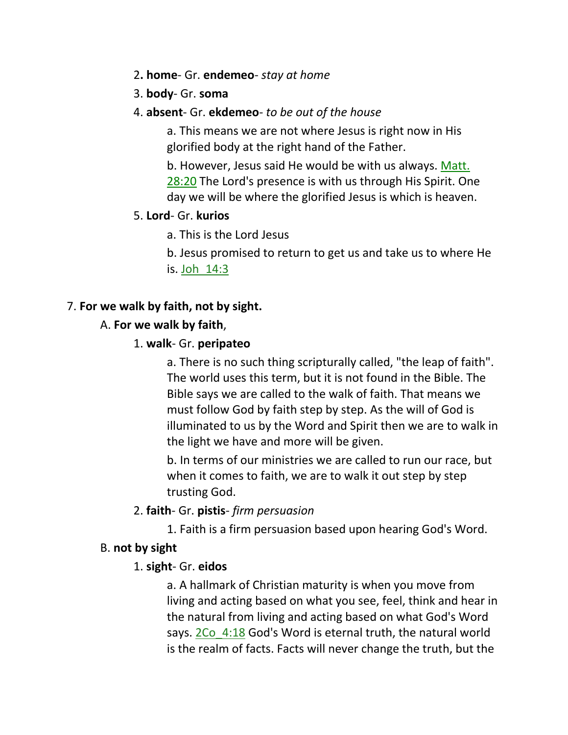- 2**. home** Gr. **endemeo** *stay at home*
- 3. **body** Gr. **soma**

### 4. **absent**- Gr. **ekdemeo**- *to be out of the house*

a. This means we are not where Jesus is right now in His glorified body at the right hand of the Father.

b. However, Jesus said He would be with us always. Matt. 28:20 The Lord's presence is with us through His Spirit. One day we will be where the glorified Jesus is which is heaven.

## 5. **Lord**- Gr. **kurios**

a. This is the Lord Jesus

b. Jesus promised to return to get us and take us to where He is. Joh\_14:3

# 7. **For we walk by faith, not by sight.**

# A. **For we walk by faith**,

## 1. **walk**- Gr. **peripateo**

a. There is no such thing scripturally called, "the leap of faith". The world uses this term, but it is not found in the Bible. The Bible says we are called to the walk of faith. That means we must follow God by faith step by step. As the will of God is illuminated to us by the Word and Spirit then we are to walk in the light we have and more will be given.

b. In terms of our ministries we are called to run our race, but when it comes to faith, we are to walk it out step by step trusting God.

### 2. **faith**- Gr. **pistis**- *firm persuasion*

1. Faith is a firm persuasion based upon hearing God's Word.

### B. **not by sight**

# 1. **sight**- Gr. **eidos**

a. A hallmark of Christian maturity is when you move from living and acting based on what you see, feel, think and hear in the natural from living and acting based on what God's Word says. 2Co\_4:18 God's Word is eternal truth, the natural world is the realm of facts. Facts will never change the truth, but the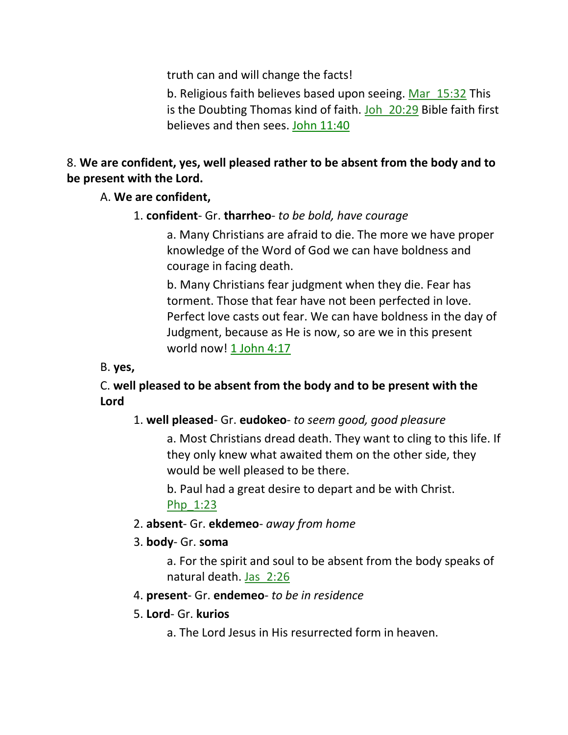truth can and will change the facts!

b. Religious faith believes based upon seeing. Mar 15:32 This is the Doubting Thomas kind of faith. Joh 20:29 Bible faith first believes and then sees. John 11:40

# 8. **We are confident, yes, well pleased rather to be absent from the body and to be present with the Lord.**

# A. **We are confident,**

1. **confident**- Gr. **tharrheo**- *to be bold, have courage*

a. Many Christians are afraid to die. The more we have proper knowledge of the Word of God we can have boldness and courage in facing death.

b. Many Christians fear judgment when they die. Fear has torment. Those that fear have not been perfected in love. Perfect love casts out fear. We can have boldness in the day of Judgment, because as He is now, so are we in this present world now! 1 John 4:17

### B. **yes,**

# C. **well pleased to be absent from the body and to be present with the Lord**

# 1. **well pleased**- Gr. **eudokeo**- *to seem good, good pleasure*

a. Most Christians dread death. They want to cling to this life. If they only knew what awaited them on the other side, they would be well pleased to be there.

b. Paul had a great desire to depart and be with Christ. Php\_1:23

# 2. **absent**- Gr. **ekdemeo**- *away from home*

# 3. **body**- Gr. **soma**

a. For the spirit and soul to be absent from the body speaks of natural death. Jas\_2:26

### 4. **present**- Gr. **endemeo**- *to be in residence*

### 5. **Lord**- Gr. **kurios**

a. The Lord Jesus in His resurrected form in heaven.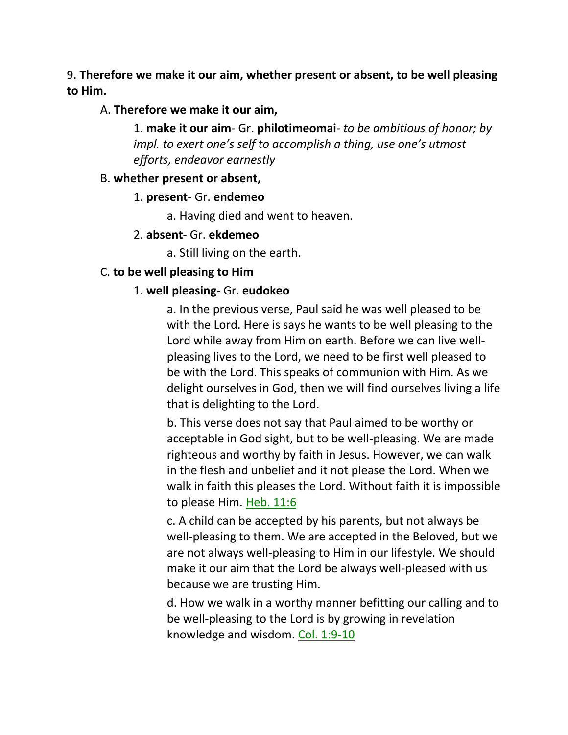9. **Therefore we make it our aim, whether present or absent, to be well pleasing to Him.** 

#### A. **Therefore we make it our aim,**

1. **make it our aim**- Gr. **philotimeomai**- *to be ambitious of honor; by impl. to exert one's self to accomplish a thing, use one's utmost efforts, endeavor earnestly*

#### B. **whether present or absent,**

#### 1. **present**- Gr. **endemeo**

a. Having died and went to heaven.

#### 2. **absent**- Gr. **ekdemeo**

a. Still living on the earth.

#### C. **to be well pleasing to Him**

#### 1. **well pleasing**- Gr. **eudokeo**

a. In the previous verse, Paul said he was well pleased to be with the Lord. Here is says he wants to be well pleasing to the Lord while away from Him on earth. Before we can live wellpleasing lives to the Lord, we need to be first well pleased to be with the Lord. This speaks of communion with Him. As we delight ourselves in God, then we will find ourselves living a life that is delighting to the Lord.

b. This verse does not say that Paul aimed to be worthy or acceptable in God sight, but to be well-pleasing. We are made righteous and worthy by faith in Jesus. However, we can walk in the flesh and unbelief and it not please the Lord. When we walk in faith this pleases the Lord. Without faith it is impossible to please Him. Heb. 11:6

c. A child can be accepted by his parents, but not always be well-pleasing to them. We are accepted in the Beloved, but we are not always well-pleasing to Him in our lifestyle. We should make it our aim that the Lord be always well-pleased with us because we are trusting Him.

d. How we walk in a worthy manner befitting our calling and to be well-pleasing to the Lord is by growing in revelation knowledge and wisdom. Col. 1:9-10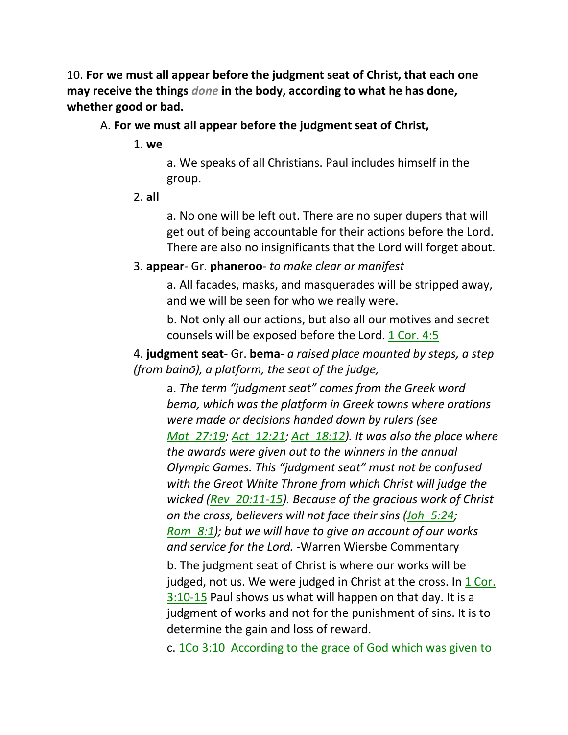10. **For we must all appear before the judgment seat of Christ, that each one may receive the things** *done* **in the body, according to what he has done, whether good or bad.**

#### A. **For we must all appear before the judgment seat of Christ,**

1. **we**

a. We speaks of all Christians. Paul includes himself in the group.

2. **all**

a. No one will be left out. There are no super dupers that will get out of being accountable for their actions before the Lord. There are also no insignificants that the Lord will forget about.

### 3. **appear**- Gr. **phaneroo**- *to make clear or manifest*

a. All facades, masks, and masquerades will be stripped away, and we will be seen for who we really were.

b. Not only all our actions, but also all our motives and secret counsels will be exposed before the Lord.  $1$  Cor.  $4:5$ 

4. **judgment seat**- Gr. **bema**- *a raised place mounted by steps, a step (from bainō), a platform, the seat of the judge,* 

a. *The term "judgment seat" comes from the Greek word bema, which was the platform in Greek towns where orations were made or decisions handed down by rulers (see Mat\_27:19; Act\_12:21; Act\_18:12). It was also the place where the awards were given out to the winners in the annual Olympic Games. This "judgment seat" must not be confused with the Great White Throne from which Christ will judge the wicked (Rev\_20:11-15). Because of the gracious work of Christ on the cross, believers will not face their sins (Joh\_5:24; Rom\_8:1); but we will have to give an account of our works and service for the Lord.* -Warren Wiersbe Commentary

b. The judgment seat of Christ is where our works will be judged, not us. We were judged in Christ at the cross. In 1 Cor. 3:10-15 Paul shows us what will happen on that day. It is a judgment of works and not for the punishment of sins. It is to determine the gain and loss of reward.

c. 1Co 3:10 According to the grace of God which was given to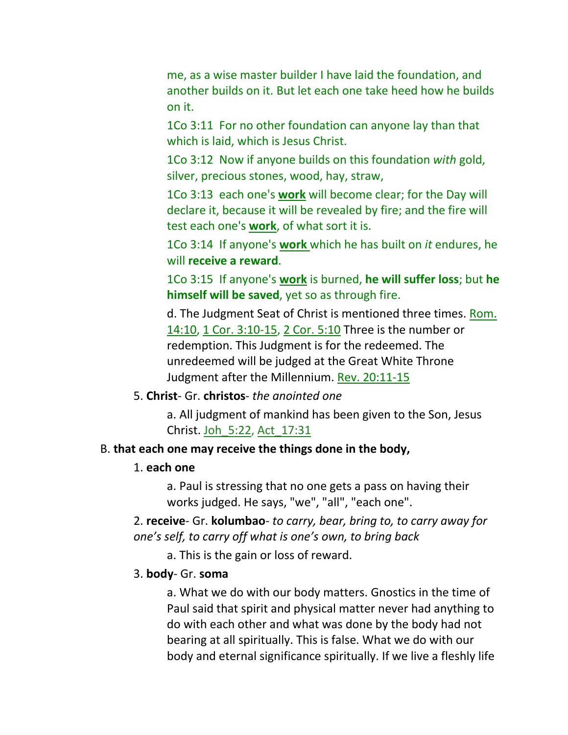me, as a wise master builder I have laid the foundation, and another builds on it. But let each one take heed how he builds on it.

1Co 3:11 For no other foundation can anyone lay than that which is laid, which is Jesus Christ.

1Co 3:12 Now if anyone builds on this foundation *with* gold, silver, precious stones, wood, hay, straw,

1Co 3:13 each one's **work** will become clear; for the Day will declare it, because it will be revealed by fire; and the fire will test each one's **work**, of what sort it is.

1Co 3:14 If anyone's **work** which he has built on *it* endures, he will **receive a reward**.

1Co 3:15 If anyone's **work** is burned, **he will suffer loss**; but **he himself will be saved**, yet so as through fire.

d. The Judgment Seat of Christ is mentioned three times. Rom. 14:10, 1 Cor. 3:10-15, 2 Cor. 5:10 Three is the number or redemption. This Judgment is for the redeemed. The unredeemed will be judged at the Great White Throne Judgment after the Millennium. Rev. 20:11-15

#### 5. **Christ**- Gr. **christos**- *the anointed one*

a. All judgment of mankind has been given to the Son, Jesus Christ. Joh\_5:22, Act\_17:31

#### B. **that each one may receive the things done in the body,**

#### 1. **each one**

a. Paul is stressing that no one gets a pass on having their works judged. He says, "we", "all", "each one".

2. **receive**- Gr. **kolumbao**- *to carry, bear, bring to, to carry away for one's self, to carry off what is one's own, to bring back*

a. This is the gain or loss of reward.

#### 3. **body**- Gr. **soma**

a. What we do with our body matters. Gnostics in the time of Paul said that spirit and physical matter never had anything to do with each other and what was done by the body had not bearing at all spiritually. This is false. What we do with our body and eternal significance spiritually. If we live a fleshly life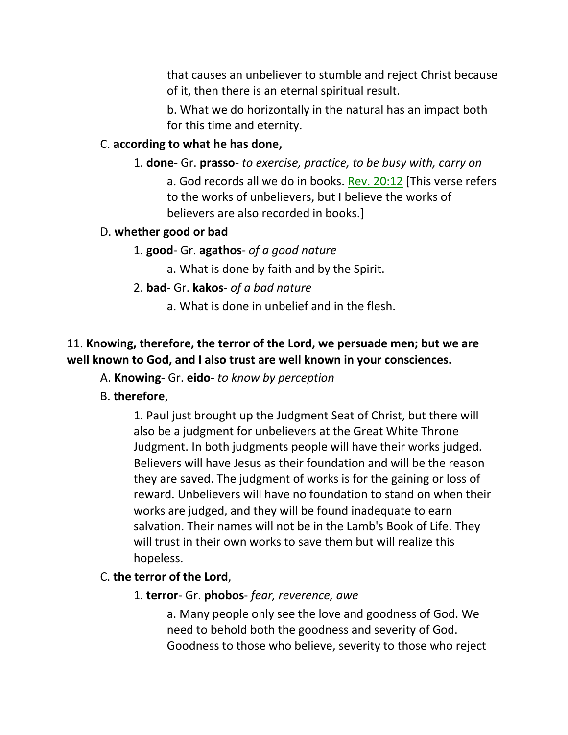that causes an unbeliever to stumble and reject Christ because of it, then there is an eternal spiritual result.

b. What we do horizontally in the natural has an impact both for this time and eternity.

# C. **according to what he has done,**

#### 1. **done**- Gr. **prasso**- *to exercise, practice, to be busy with, carry on*

a. God records all we do in books. Rev. 20:12 [This verse refers to the works of unbelievers, but I believe the works of believers are also recorded in books.]

#### D. **whether good or bad**

#### 1. **good**- Gr. **agathos**- *of a good nature*

a. What is done by faith and by the Spirit.

2. **bad**- Gr. **kakos**- *of a bad nature*

a. What is done in unbelief and in the flesh.

## 11. **Knowing, therefore, the terror of the Lord, we persuade men; but we are well known to God, and I also trust are well known in your consciences.**

A. **Knowing**- Gr. **eido**- *to know by perception*

### B. **therefore**,

1. Paul just brought up the Judgment Seat of Christ, but there will also be a judgment for unbelievers at the Great White Throne Judgment. In both judgments people will have their works judged. Believers will have Jesus as their foundation and will be the reason they are saved. The judgment of works is for the gaining or loss of reward. Unbelievers will have no foundation to stand on when their works are judged, and they will be found inadequate to earn salvation. Their names will not be in the Lamb's Book of Life. They will trust in their own works to save them but will realize this hopeless.

#### C. **the terror of the Lord**,

#### 1. **terror**- Gr. **phobos**- *fear, reverence, awe*

a. Many people only see the love and goodness of God. We need to behold both the goodness and severity of God. Goodness to those who believe, severity to those who reject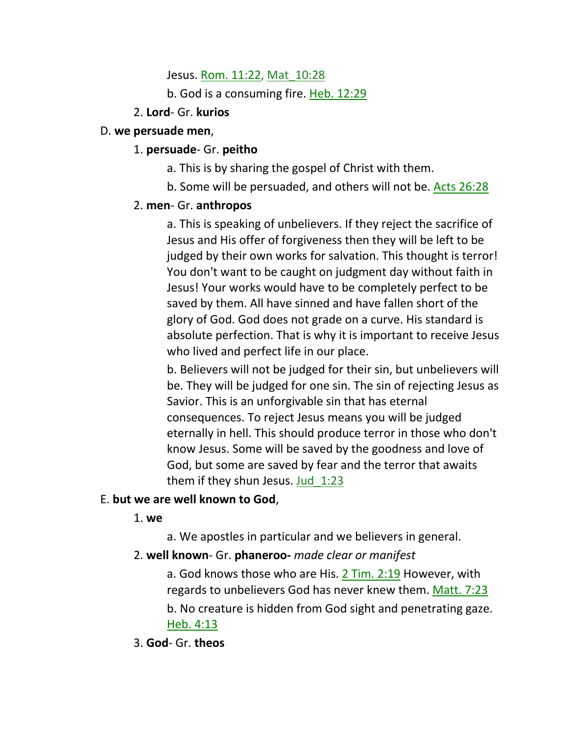#### Jesus. Rom. 11:22, Mat 10:28

b. God is a consuming fire. Heb. 12:29

### 2. **Lord**- Gr. **kurios**

### D. **we persuade men**,

## 1. **persuade**- Gr. **peitho**

- a. This is by sharing the gospel of Christ with them.
- b. Some will be persuaded, and others will not be. Acts 26:28

# 2. **men**- Gr. **anthropos**

a. This is speaking of unbelievers. If they reject the sacrifice of Jesus and His offer of forgiveness then they will be left to be judged by their own works for salvation. This thought is terror! You don't want to be caught on judgment day without faith in Jesus! Your works would have to be completely perfect to be saved by them. All have sinned and have fallen short of the glory of God. God does not grade on a curve. His standard is absolute perfection. That is why it is important to receive Jesus who lived and perfect life in our place.

b. Believers will not be judged for their sin, but unbelievers will be. They will be judged for one sin. The sin of rejecting Jesus as Savior. This is an unforgivable sin that has eternal consequences. To reject Jesus means you will be judged eternally in hell. This should produce terror in those who don't know Jesus. Some will be saved by the goodness and love of God, but some are saved by fear and the terror that awaits them if they shun Jesus. Jud\_1:23

# E. **but we are well known to God**,

1. **we**

a. We apostles in particular and we believers in general.

# 2. **well known**- Gr. **phaneroo-** *made clear or manifest*

a. God knows those who are His. 2 Tim. 2:19 However, with regards to unbelievers God has never knew them. Matt. 7:23

b. No creature is hidden from God sight and penetrating gaze. Heb. 4:13

3. **God**- Gr. **theos**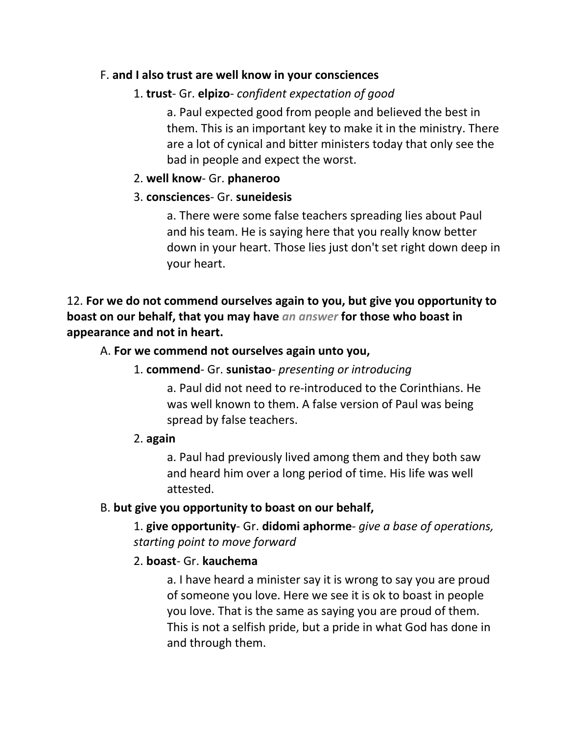## F. **and I also trust are well know in your consciences**

# 1. **trust**- Gr. **elpizo**- *confident expectation of good*

a. Paul expected good from people and believed the best in them. This is an important key to make it in the ministry. There are a lot of cynical and bitter ministers today that only see the bad in people and expect the worst.

## 2. **well know**- Gr. **phaneroo**

## 3. **consciences**- Gr. **suneidesis**

a. There were some false teachers spreading lies about Paul and his team. He is saying here that you really know better down in your heart. Those lies just don't set right down deep in your heart.

12. **For we do not commend ourselves again to you, but give you opportunity to boast on our behalf, that you may have** *an answer* **for those who boast in appearance and not in heart.** 

# A. **For we commend not ourselves again unto you,**

### 1. **commend**- Gr. **sunistao**- *presenting or introducing*

a. Paul did not need to re-introduced to the Corinthians. He was well known to them. A false version of Paul was being spread by false teachers.

### 2. **again**

a. Paul had previously lived among them and they both saw and heard him over a long period of time. His life was well attested.

### B. **but give you opportunity to boast on our behalf,**

1. **give opportunity**- Gr. **didomi aphorme**- *give a base of operations, starting point to move forward*

### 2. **boast**- Gr. **kauchema**

a. I have heard a minister say it is wrong to say you are proud of someone you love. Here we see it is ok to boast in people you love. That is the same as saying you are proud of them. This is not a selfish pride, but a pride in what God has done in and through them.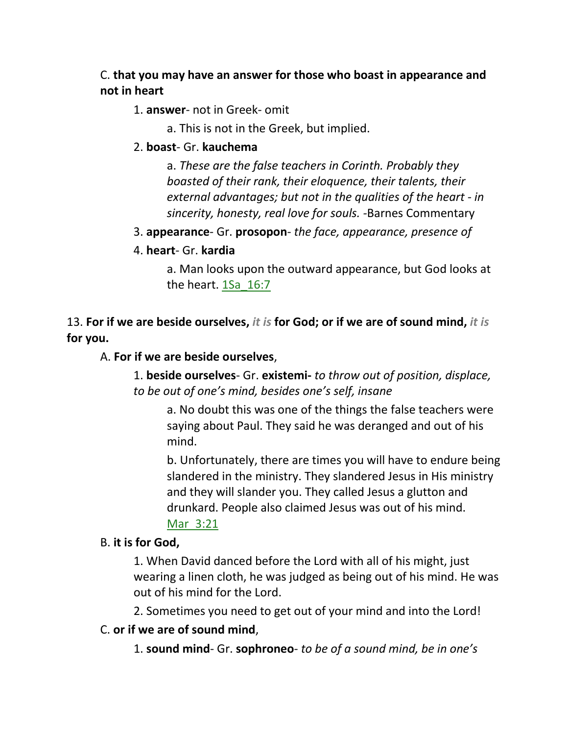# C. **that you may have an answer for those who boast in appearance and not in heart**

### 1. **answer**- not in Greek- omit

a. This is not in the Greek, but implied.

## 2. **boast**- Gr. **kauchema**

a. *These are the false teachers in Corinth. Probably they boasted of their rank, their eloquence, their talents, their external advantages; but not in the qualities of the heart - in sincerity, honesty, real love for souls. -*Barnes Commentary

# 3. **appearance**- Gr. **prosopon**- *the face, appearance, presence of*

### 4. **heart**- Gr. **kardia**

a. Man looks upon the outward appearance, but God looks at the heart. 1Sa\_16:7

13. **For if we are beside ourselves,** *it is* **for God; or if we are of sound mind,** *it is* **for you.** 

### A. **For if we are beside ourselves**,

1. **beside ourselves**- Gr. **existemi-** *to throw out of position, displace, to be out of one's mind, besides one's self, insane*

a. No doubt this was one of the things the false teachers were saying about Paul. They said he was deranged and out of his mind.

b. Unfortunately, there are times you will have to endure being slandered in the ministry. They slandered Jesus in His ministry and they will slander you. They called Jesus a glutton and drunkard. People also claimed Jesus was out of his mind. Mar\_3:21

### B. **it is for God,**

1. When David danced before the Lord with all of his might, just wearing a linen cloth, he was judged as being out of his mind. He was out of his mind for the Lord.

2. Sometimes you need to get out of your mind and into the Lord!

### C. **or if we are of sound mind**,

1. **sound mind**- Gr. **sophroneo**- *to be of a sound mind, be in one's*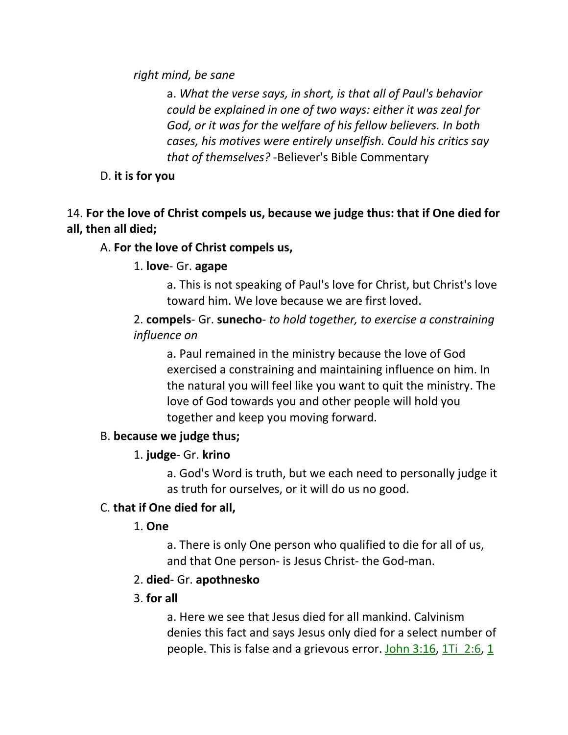*right mind, be sane*

a. *What the verse says, in short, is that all of Paul's behavior could be explained in one of two ways: either it was zeal for God, or it was for the welfare of his fellow believers. In both cases, his motives were entirely unselfish. Could his critics say that of themselves?* -Believer's Bible Commentary

D. **it is for you**

# 14. **For the love of Christ compels us, because we judge thus: that if One died for all, then all died;**

## A. **For the love of Christ compels us,**

### 1. **love**- Gr. **agape**

a. This is not speaking of Paul's love for Christ, but Christ's love toward him. We love because we are first loved.

2. **compels**- Gr. **sunecho**- *to hold together, to exercise a constraining influence on*

a. Paul remained in the ministry because the love of God exercised a constraining and maintaining influence on him. In the natural you will feel like you want to quit the ministry. The love of God towards you and other people will hold you together and keep you moving forward.

### B. **because we judge thus;**

### 1. **judge**- Gr. **krino**

a. God's Word is truth, but we each need to personally judge it as truth for ourselves, or it will do us no good.

### C. **that if One died for all,**

1. **One**

a. There is only One person who qualified to die for all of us, and that One person- is Jesus Christ- the God-man.

### 2. **died**- Gr. **apothnesko**

#### 3. **for all**

a. Here we see that Jesus died for all mankind. Calvinism denies this fact and says Jesus only died for a select number of people. This is false and a grievous error. John  $3:16$ ,  $1\overline{1}$   $2:6$ ,  $1$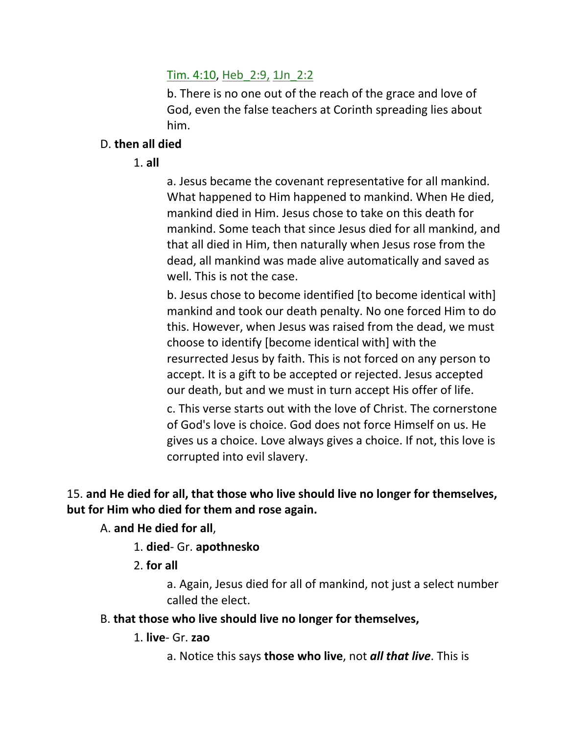## Tim. 4:10, Heb\_2:9, 1Jn\_2:2

b. There is no one out of the reach of the grace and love of God, even the false teachers at Corinth spreading lies about him.

### D. **then all died**

1. **all**

a. Jesus became the covenant representative for all mankind. What happened to Him happened to mankind. When He died, mankind died in Him. Jesus chose to take on this death for mankind. Some teach that since Jesus died for all mankind, and that all died in Him, then naturally when Jesus rose from the dead, all mankind was made alive automatically and saved as well. This is not the case.

b. Jesus chose to become identified [to become identical with] mankind and took our death penalty. No one forced Him to do this. However, when Jesus was raised from the dead, we must choose to identify [become identical with] with the resurrected Jesus by faith. This is not forced on any person to accept. It is a gift to be accepted or rejected. Jesus accepted our death, but and we must in turn accept His offer of life.

c. This verse starts out with the love of Christ. The cornerstone of God's love is choice. God does not force Himself on us. He gives us a choice. Love always gives a choice. If not, this love is corrupted into evil slavery.

15. **and He died for all, that those who live should live no longer for themselves, but for Him who died for them and rose again.** 

A. **and He died for all**,

- 1. **died** Gr. **apothnesko**
- 2. **for all**

a. Again, Jesus died for all of mankind, not just a select number called the elect.

- B. **that those who live should live no longer for themselves,**
	- 1. **live** Gr. **zao**

a. Notice this says **those who live**, not *all that live*. This is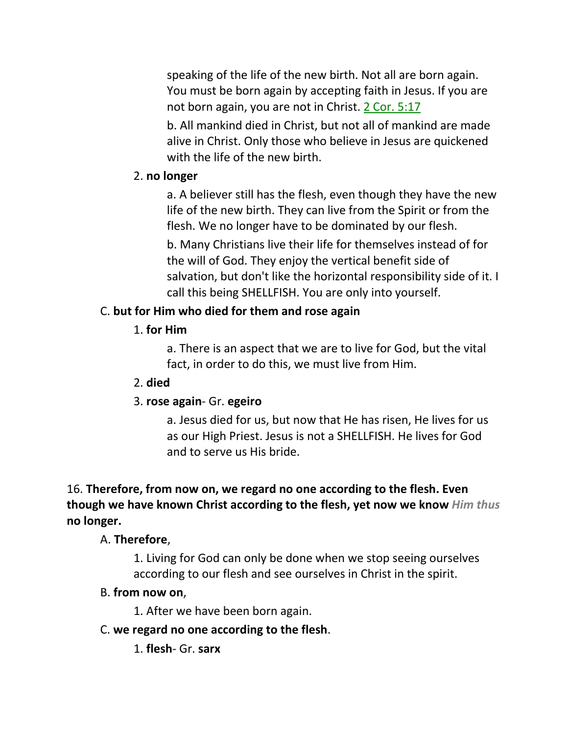speaking of the life of the new birth. Not all are born again. You must be born again by accepting faith in Jesus. If you are not born again, you are not in Christ. 2 Cor. 5:17

b. All mankind died in Christ, but not all of mankind are made alive in Christ. Only those who believe in Jesus are quickened with the life of the new birth.

### 2. **no longer**

a. A believer still has the flesh, even though they have the new life of the new birth. They can live from the Spirit or from the flesh. We no longer have to be dominated by our flesh.

b. Many Christians live their life for themselves instead of for the will of God. They enjoy the vertical benefit side of salvation, but don't like the horizontal responsibility side of it. I call this being SHELLFISH. You are only into yourself.

# C. **but for Him who died for them and rose again**

## 1. **for Him**

a. There is an aspect that we are to live for God, but the vital fact, in order to do this, we must live from Him.

# 2. **died**

# 3. **rose again**- Gr. **egeiro**

a. Jesus died for us, but now that He has risen, He lives for us as our High Priest. Jesus is not a SHELLFISH. He lives for God and to serve us His bride.

16. **Therefore, from now on, we regard no one according to the flesh. Even though we have known Christ according to the flesh, yet now we know** *Him thus* **no longer.** 

# A. **Therefore**,

1. Living for God can only be done when we stop seeing ourselves according to our flesh and see ourselves in Christ in the spirit.

# B. **from now on**,

1. After we have been born again.

# C. **we regard no one according to the flesh**.

1. **flesh**- Gr. **sarx**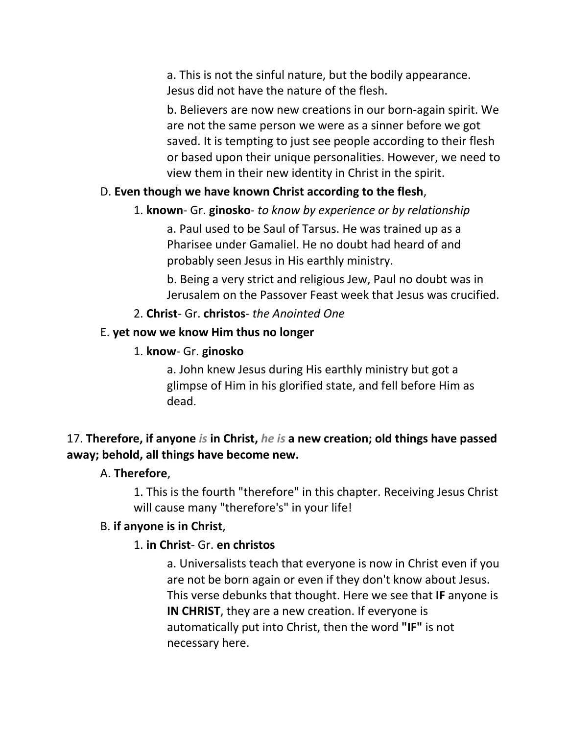a. This is not the sinful nature, but the bodily appearance. Jesus did not have the nature of the flesh.

b. Believers are now new creations in our born-again spirit. We are not the same person we were as a sinner before we got saved. It is tempting to just see people according to their flesh or based upon their unique personalities. However, we need to view them in their new identity in Christ in the spirit.

# D. **Even though we have known Christ according to the flesh**,

# 1. **known**- Gr. **ginosko**- *to know by experience or by relationship*

a. Paul used to be Saul of Tarsus. He was trained up as a Pharisee under Gamaliel. He no doubt had heard of and probably seen Jesus in His earthly ministry.

b. Being a very strict and religious Jew, Paul no doubt was in Jerusalem on the Passover Feast week that Jesus was crucified.

2. **Christ**- Gr. **christos**- *the Anointed One*

# E. **yet now we know Him thus no longer**

1. **know**- Gr. **ginosko**

a. John knew Jesus during His earthly ministry but got a glimpse of Him in his glorified state, and fell before Him as dead.

# 17. **Therefore, if anyone** *is* **in Christ,** *he is* **a new creation; old things have passed away; behold, all things have become new.**

# A. **Therefore**,

1. This is the fourth "therefore" in this chapter. Receiving Jesus Christ will cause many "therefore's" in your life!

# B. **if anyone is in Christ**,

# 1. **in Christ**- Gr. **en christos**

a. Universalists teach that everyone is now in Christ even if you are not be born again or even if they don't know about Jesus. This verse debunks that thought. Here we see that **IF** anyone is **IN CHRIST**, they are a new creation. If everyone is automatically put into Christ, then the word **"IF"** is not necessary here.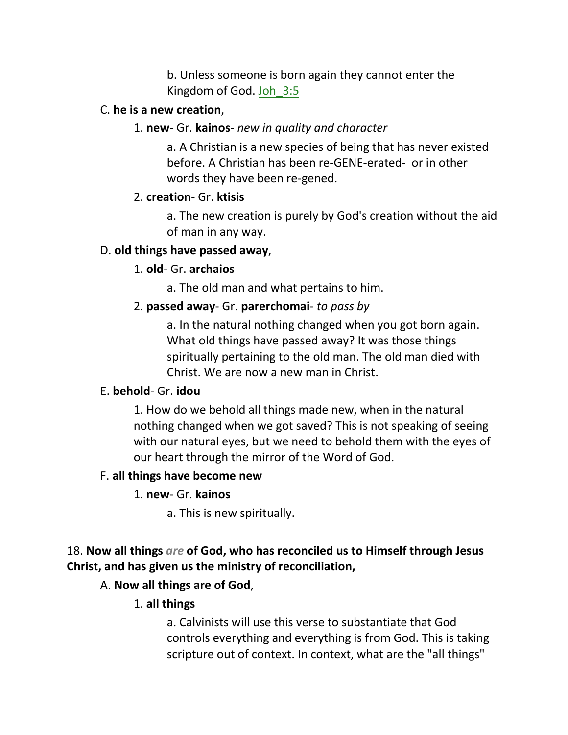b. Unless someone is born again they cannot enter the Kingdom of God. Joh\_3:5

#### C. **he is a new creation**,

#### 1. **new**- Gr. **kainos**- *new in quality and character*

a. A Christian is a new species of being that has never existed before. A Christian has been re-GENE-erated- or in other words they have been re-gened.

### 2. **creation**- Gr. **ktisis**

a. The new creation is purely by God's creation without the aid of man in any way.

### D. **old things have passed away**,

### 1. **old**- Gr. **archaios**

a. The old man and what pertains to him.

## 2. **passed away**- Gr. **parerchomai**- *to pass by*

a. In the natural nothing changed when you got born again. What old things have passed away? It was those things spiritually pertaining to the old man. The old man died with Christ. We are now a new man in Christ.

### E. **behold**- Gr. **idou**

1. How do we behold all things made new, when in the natural nothing changed when we got saved? This is not speaking of seeing with our natural eyes, but we need to behold them with the eyes of our heart through the mirror of the Word of God.

### F. **all things have become new**

- 1. **new** Gr. **kainos**
	- a. This is new spiritually.

# 18. **Now all things** *are* **of God, who has reconciled us to Himself through Jesus Christ, and has given us the ministry of reconciliation,**

# A. **Now all things are of God**,

### 1. **all things**

a. Calvinists will use this verse to substantiate that God controls everything and everything is from God. This is taking scripture out of context. In context, what are the "all things"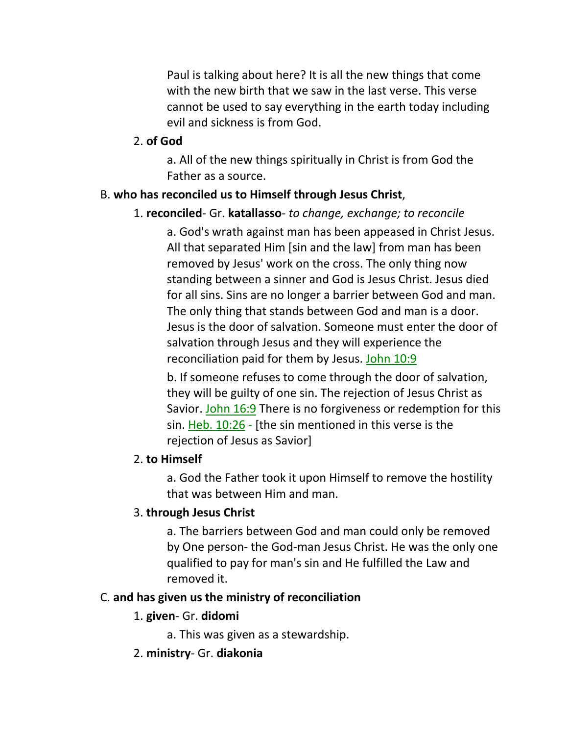Paul is talking about here? It is all the new things that come with the new birth that we saw in the last verse. This verse cannot be used to say everything in the earth today including evil and sickness is from God.

#### 2. **of God**

a. All of the new things spiritually in Christ is from God the Father as a source.

## B. **who has reconciled us to Himself through Jesus Christ**,

### 1. **reconciled**- Gr. **katallasso**- *to change, exchange; to reconcile*

a. God's wrath against man has been appeased in Christ Jesus. All that separated Him [sin and the law] from man has been removed by Jesus' work on the cross. The only thing now standing between a sinner and God is Jesus Christ. Jesus died for all sins. Sins are no longer a barrier between God and man. The only thing that stands between God and man is a door. Jesus is the door of salvation. Someone must enter the door of salvation through Jesus and they will experience the reconciliation paid for them by Jesus. John 10:9

b. If someone refuses to come through the door of salvation, they will be guilty of one sin. The rejection of Jesus Christ as Savior. John 16:9 There is no forgiveness or redemption for this sin. Heb. 10:26 - [the sin mentioned in this verse is the rejection of Jesus as Savior]

### 2. **to Himself**

a. God the Father took it upon Himself to remove the hostility that was between Him and man.

# 3. **through Jesus Christ**

a. The barriers between God and man could only be removed by One person- the God-man Jesus Christ. He was the only one qualified to pay for man's sin and He fulfilled the Law and removed it.

### C. **and has given us the ministry of reconciliation**

### 1. **given**- Gr. **didomi**

a. This was given as a stewardship.

### 2. **ministry**- Gr. **diakonia**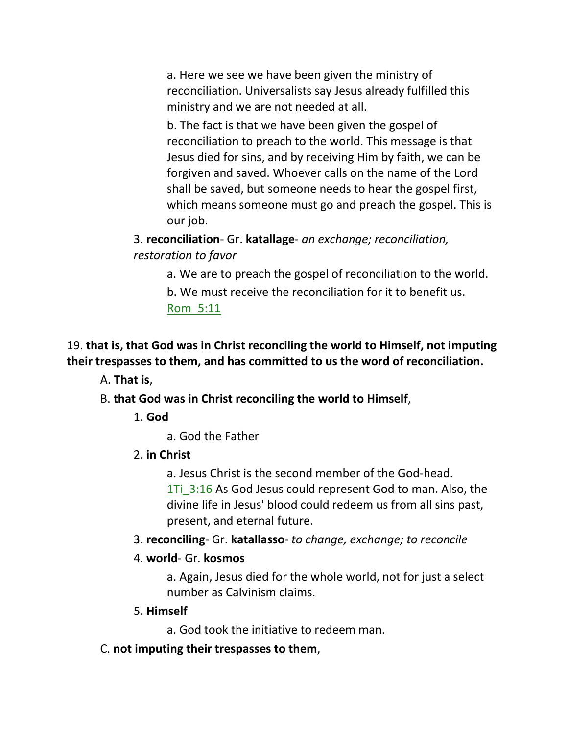a. Here we see we have been given the ministry of reconciliation. Universalists say Jesus already fulfilled this ministry and we are not needed at all.

b. The fact is that we have been given the gospel of reconciliation to preach to the world. This message is that Jesus died for sins, and by receiving Him by faith, we can be forgiven and saved. Whoever calls on the name of the Lord shall be saved, but someone needs to hear the gospel first, which means someone must go and preach the gospel. This is our job.

3. **reconciliation**- Gr. **katallage**- *an exchange; reconciliation, restoration to favor*

a. We are to preach the gospel of reconciliation to the world.

b. We must receive the reconciliation for it to benefit us. Rom\_5:11

19. **that is, that God was in Christ reconciling the world to Himself, not imputing their trespasses to them, and has committed to us the word of reconciliation.**

A. **That is**,

B. **that God was in Christ reconciling the world to Himself**,

1. **God**

a. God the Father

2. **in Christ**

a. Jesus Christ is the second member of the God-head. 1Ti 3:16 As God Jesus could represent God to man. Also, the divine life in Jesus' blood could redeem us from all sins past, present, and eternal future.

3. **reconciling**- Gr. **katallasso**- *to change, exchange; to reconcile*

### 4. **world**- Gr. **kosmos**

a. Again, Jesus died for the whole world, not for just a select number as Calvinism claims.

#### 5. **Himself**

a. God took the initiative to redeem man.

C. **not imputing their trespasses to them**,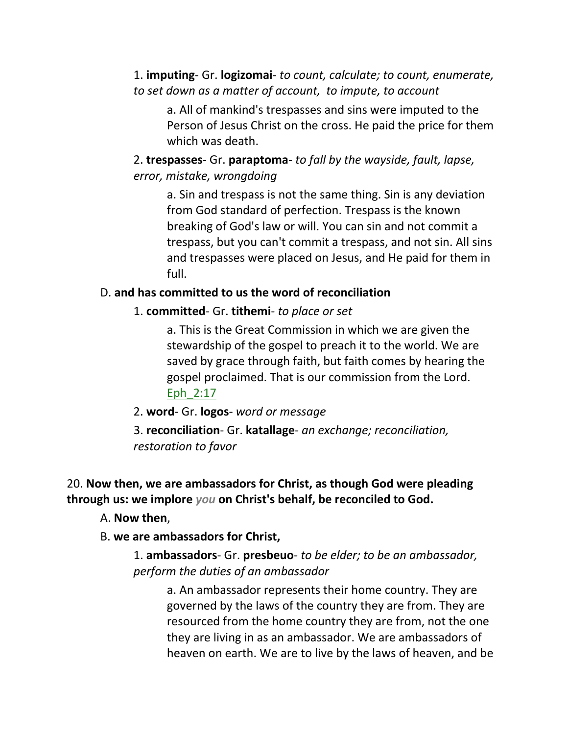1. **imputing**- Gr. **logizomai**- *to count, calculate; to count, enumerate, to set down as a matter of account, to impute, to account*

a. All of mankind's trespasses and sins were imputed to the Person of Jesus Christ on the cross. He paid the price for them which was death.

2. **trespasses**- Gr. **paraptoma**- *to fall by the wayside, fault, lapse, error, mistake, wrongdoing*

a. Sin and trespass is not the same thing. Sin is any deviation from God standard of perfection. Trespass is the known breaking of God's law or will. You can sin and not commit a trespass, but you can't commit a trespass, and not sin. All sins and trespasses were placed on Jesus, and He paid for them in full.

#### D. **and has committed to us the word of reconciliation**

1. **committed**- Gr. **tithemi**- *to place or set*

a. This is the Great Commission in which we are given the stewardship of the gospel to preach it to the world. We are saved by grace through faith, but faith comes by hearing the gospel proclaimed. That is our commission from the Lord. Eph\_2:17

2. **word**- Gr. **logos**- *word or message*

3. **reconciliation**- Gr. **katallage**- *an exchange; reconciliation, restoration to favor*

20. **Now then, we are ambassadors for Christ, as though God were pleading through us: we implore** *you* **on Christ's behalf, be reconciled to God.** 

A. **Now then**,

#### B. **we are ambassadors for Christ,**

1. **ambassadors**- Gr. **presbeuo**- *to be elder; to be an ambassador, perform the duties of an ambassador*

a. An ambassador represents their home country. They are governed by the laws of the country they are from. They are resourced from the home country they are from, not the one they are living in as an ambassador. We are ambassadors of heaven on earth. We are to live by the laws of heaven, and be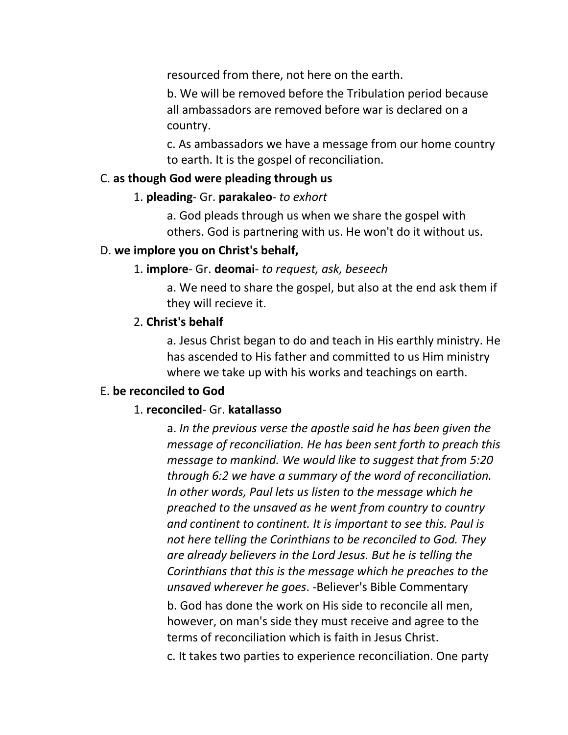resourced from there, not here on the earth.

b. We will be removed before the Tribulation period because all ambassadors are removed before war is declared on a country.

c. As ambassadors we have a message from our home country to earth. It is the gospel of reconciliation.

#### C. **as though God were pleading through us**

#### 1. **pleading**- Gr. **parakaleo**- *to exhort*

a. God pleads through us when we share the gospel with others. God is partnering with us. He won't do it without us.

#### D. **we implore you on Christ's behalf,**

#### 1. **implore**- Gr. **deomai**- *to request, ask, beseech*

a. We need to share the gospel, but also at the end ask them if they will recieve it.

#### 2. **Christ's behalf**

a. Jesus Christ began to do and teach in His earthly ministry. He has ascended to His father and committed to us Him ministry where we take up with his works and teachings on earth.

#### E. **be reconciled to God**

#### 1. **reconciled**- Gr. **katallasso**

a. *In the previous verse the apostle said he has been given the message of reconciliation. He has been sent forth to preach this message to mankind. We would like to suggest that from 5:20 through 6:2 we have a summary of the word of reconciliation. In other words, Paul lets us listen to the message which he preached to the unsaved as he went from country to country and continent to continent. It is important to see this. Paul is not here telling the Corinthians to be reconciled to God. They are already believers in the Lord Jesus. But he is telling the Corinthians that this is the message which he preaches to the unsaved wherever he goes*. -Believer's Bible Commentary

b. God has done the work on His side to reconcile all men, however, on man's side they must receive and agree to the terms of reconciliation which is faith in Jesus Christ.

c. It takes two parties to experience reconciliation. One party